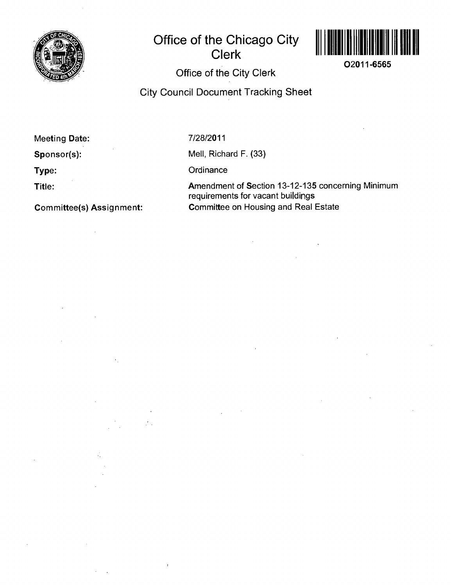

## **Office of the Chicago City Clerk**



**02011-6565** 

## **Office of the City Clerk**

**City Council Document Tracking Sheet** 

**Meeting Date:** 

**Sponsor(s):** 

**Type:** 

**Title:** 

**Committee(s) Assignment:** 

 $\mathcal{L}$ 

 $\mathcal{L} \subset \mathcal{L}$  .

**7/28/2011** 

Mell, Richard F, (33)

**Ordinance** 

Amendment of Section 13-12-135 concerning Minimum requirements for vacant buildings Committee on Housing and Real Estate